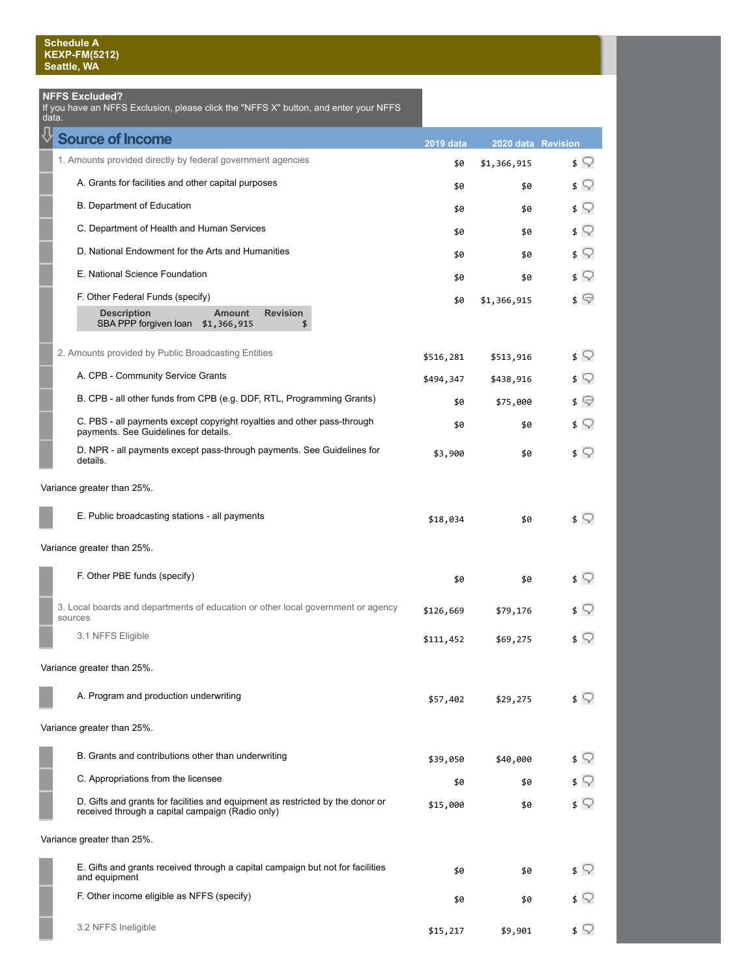## **NFFS Excluded?**

data.

If you have an NFFS Exclusion, please click the "NFFS X" button, and enter your NFFS

| <b>Source of Income</b>                                                                                                            | <b>2019 data</b> | 2020 data Revision |            |
|------------------------------------------------------------------------------------------------------------------------------------|------------------|--------------------|------------|
| 1. Amounts provided directly by federal government agencies                                                                        | \$0              | \$1,366,915        | $\sqrt{ }$ |
| A. Grants for facilities and other capital purposes                                                                                | \$0              | \$0                | \$ ?       |
| B. Department of Education                                                                                                         | \$0              | \$0                | ≰ ⊊        |
| C. Department of Health and Human Services                                                                                         | \$0              | \$0                | ≴ ⊊        |
| D. National Endowment for the Arts and Humanities                                                                                  | \$0              | \$0                | ≴ ⊊        |
| E. National Science Foundation                                                                                                     | \$0              | \$0                | ≰ ⊊        |
| F. Other Federal Funds (specify)                                                                                                   | \$0              | \$1,366,915        | ≰ ©        |
| <b>Description</b><br><b>Revision</b><br><b>Amount</b><br>SBA PPP forgiven loan \$1,366,915<br>\$                                  |                  |                    |            |
| 2. Amounts provided by Public Broadcasting Entities                                                                                | \$516,281        | \$513,916          | ≰ ⊊        |
| A. CPB - Community Service Grants                                                                                                  | \$494,347        | \$438,916          | Q<br>\$    |
| B. CPB - all other funds from CPB (e.g. DDF, RTL, Programming Grants)                                                              | \$0              | \$75,000           | ≰ യ        |
| C. PBS - all payments except copyright royalties and other pass-through<br>payments. See Guidelines for details.                   | \$0              | \$0                | ≴ ⊊        |
| D. NPR - all payments except pass-through payments. See Guidelines for<br>details.                                                 | \$3,900          | \$0                | $\sqrt{ }$ |
| Variance greater than 25%.                                                                                                         |                  |                    |            |
| E. Public broadcasting stations - all payments                                                                                     | \$18,034         | \$0                | $\sqrt{ }$ |
| Variance greater than 25%.                                                                                                         |                  |                    |            |
| F. Other PBE funds (specify)                                                                                                       | \$0              | \$0                | \$ ?       |
| 3. Local boards and departments of education or other local government or agency<br>sources                                        | \$126,669        | \$79,176           | V          |
| 3.1 NFFS Eligible                                                                                                                  | \$111,452        | \$69,275           | \$ ?       |
| Variance greater than 25%.                                                                                                         |                  |                    |            |
| A. Program and production underwriting                                                                                             | \$57,402         | \$29,275           | s Q        |
| Variance greater than 25%.                                                                                                         |                  |                    |            |
| B. Grants and contributions other than underwriting                                                                                | \$39,050         | \$40,000           | ≴ ⊊        |
| C. Appropriations from the licensee                                                                                                | \$0              | \$0                | S.         |
| D. Gifts and grants for facilities and equipment as restricted by the donor or<br>received through a capital campaign (Radio only) | \$15,000         | \$0                | s V        |
| Variance greater than 25%.                                                                                                         |                  |                    |            |
| E. Gifts and grants received through a capital campaign but not for facilities<br>and equipment                                    | \$0              | \$0                | \$ V       |
| F. Other income eligible as NFFS (specify)                                                                                         | \$0              | \$0                |            |
| 3.2 NFFS Ineligible                                                                                                                | \$15,217         | \$9,901            | ≰ ♡        |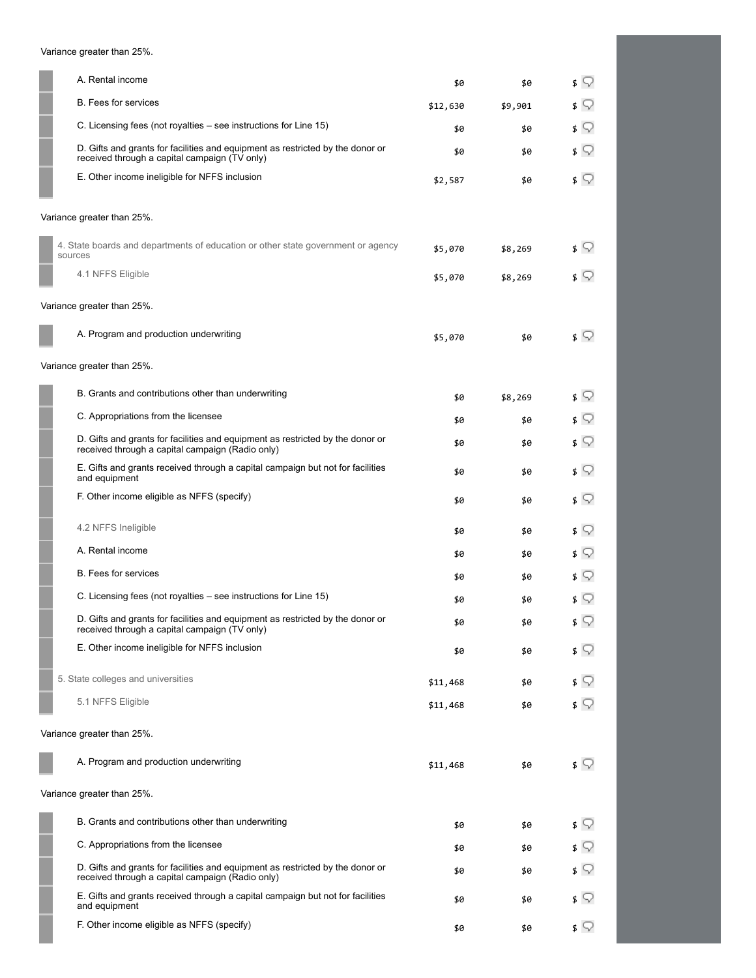Variance greater than 25%.

| A. Rental income                                                                                                                   | \$0      | \$0     | Q<br>\$    |
|------------------------------------------------------------------------------------------------------------------------------------|----------|---------|------------|
| <b>B.</b> Fees for services                                                                                                        | \$12,630 | \$9,901 | \$ V       |
| C. Licensing fees (not royalties – see instructions for Line 15)                                                                   | \$0      | \$0     | ≴ ⊊        |
| D. Gifts and grants for facilities and equipment as restricted by the donor or<br>received through a capital campaign (TV only)    | \$0      | \$0     | \$ V       |
| E. Other income ineligible for NFFS inclusion                                                                                      | \$2,587  | \$0     | ≴ ⊊        |
| Variance greater than 25%.                                                                                                         |          |         |            |
| 4. State boards and departments of education or other state government or agency<br>sources                                        | \$5,070  | \$8,269 | \$ V       |
| 4.1 NFFS Eligible                                                                                                                  | \$5,070  | \$8,269 | \$ V       |
| Variance greater than 25%.                                                                                                         |          |         |            |
| A. Program and production underwriting                                                                                             | \$5,070  | \$0     | ≴ ⊊        |
| Variance greater than 25%.                                                                                                         |          |         |            |
| B. Grants and contributions other than underwriting                                                                                | \$0      | \$8,269 | \$ V       |
| C. Appropriations from the licensee                                                                                                | \$0      | \$0     | \$ V       |
| D. Gifts and grants for facilities and equipment as restricted by the donor or<br>received through a capital campaign (Radio only) | \$0      | \$0     | s V        |
| E. Gifts and grants received through a capital campaign but not for facilities<br>and equipment                                    | \$0      | \$0     | \$ V       |
| F. Other income eligible as NFFS (specify)                                                                                         | \$0      | \$0     | \$ V       |
| 4.2 NFFS Ineligible                                                                                                                | \$0      | \$0     | s V        |
| A. Rental income                                                                                                                   | \$0      | \$0     | ≴ ⊊        |
| <b>B.</b> Fees for services                                                                                                        | \$0      | \$0     | s V        |
| C. Licensing fees (not royalties – see instructions for Line 15)                                                                   | \$0      | \$0     | Q.         |
| D. Gifts and grants for facilities and equipment as restricted by the donor or<br>received through a capital campaign (TV only)    | \$0      | \$0     | \$ ़       |
| E. Other income ineligible for NFFS inclusion                                                                                      | \$0      | \$0     | $\sqrt{ }$ |
| 5. State colleges and universities                                                                                                 | \$11,468 | \$0     | \$ ?       |
| 5.1 NFFS Eligible                                                                                                                  | \$11,468 | \$0     | ≴ ⊊        |
| Variance greater than 25%.                                                                                                         |          |         |            |
| A. Program and production underwriting                                                                                             | \$11,468 | \$0     | $\sqrt{ }$ |
| Variance greater than 25%.                                                                                                         |          |         |            |
| B. Grants and contributions other than underwriting                                                                                | \$0      | \$0     | \$ V       |
| C. Appropriations from the licensee                                                                                                | \$0      | \$0     | 9          |
| D. Gifts and grants for facilities and equipment as restricted by the donor or<br>received through a capital campaign (Radio only) | \$0      | \$0     | \$ V       |
| E. Gifts and grants received through a capital campaign but not for facilities<br>and equipment                                    | \$0      | \$0     | \$ V       |
| F. Other income eligible as NFFS (specify)                                                                                         | \$0      | \$0     | \$ ∑       |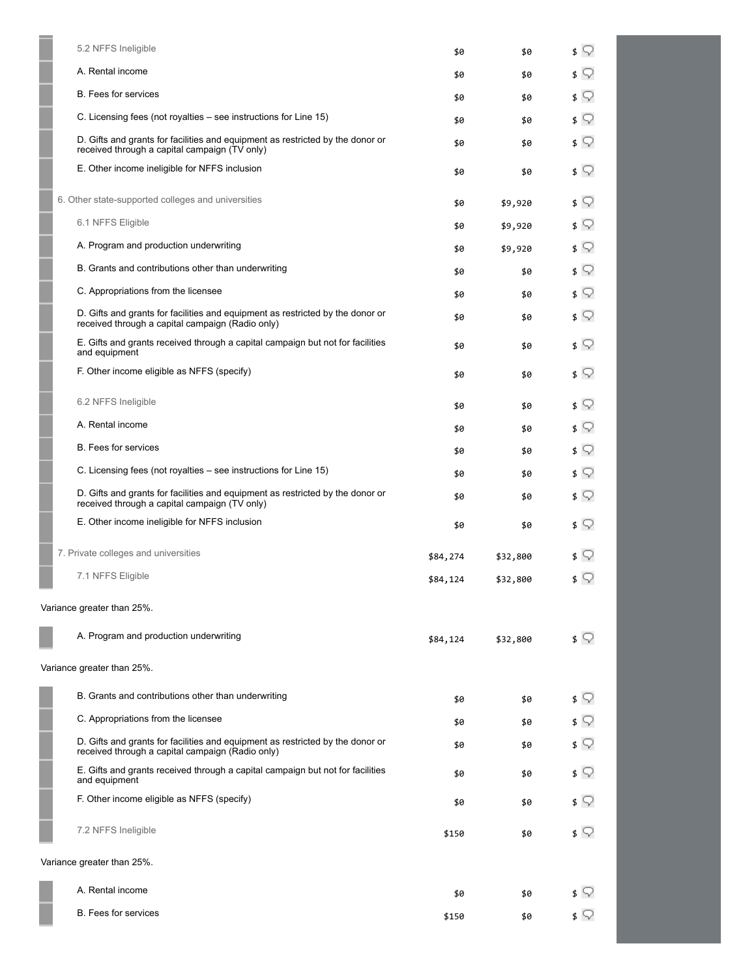| 5.2 NFFS Ineligible                                                                                                                | \$0      | \$0      | ≴ ⊊                       |
|------------------------------------------------------------------------------------------------------------------------------------|----------|----------|---------------------------|
| A. Rental income                                                                                                                   | \$0      | \$0      | Q<br>\$                   |
| <b>B.</b> Fees for services                                                                                                        | \$0      | \$0      | \$ V                      |
| C. Licensing fees (not royalties – see instructions for Line 15)                                                                   | \$0      | \$0      | s Q                       |
| D. Gifts and grants for facilities and equipment as restricted by the donor or<br>received through a capital campaign (TV only)    | \$0      | \$0      | ≴ ⊊                       |
| E. Other income ineligible for NFFS inclusion                                                                                      | \$0      | \$0      | ≴ ⊊                       |
| 6. Other state-supported colleges and universities                                                                                 | \$0      | \$9,920  | s ♡                       |
| 6.1 NFFS Eligible                                                                                                                  | \$0      | \$9,920  | s V                       |
| A. Program and production underwriting                                                                                             | \$0      | \$9,920  | ≴ ⊊                       |
| B. Grants and contributions other than underwriting                                                                                | \$0      | \$0      | s Q                       |
| C. Appropriations from the licensee                                                                                                | \$0      | \$0      | ≰ ♀                       |
| D. Gifts and grants for facilities and equipment as restricted by the donor or<br>received through a capital campaign (Radio only) | \$0      | \$0      | \$ V                      |
| E. Gifts and grants received through a capital campaign but not for facilities<br>and equipment                                    | \$0      | \$0      | \$ ?                      |
| F. Other income eligible as NFFS (specify)                                                                                         | \$0      | \$0      | \$ ?                      |
| 6.2 NFFS Ineligible                                                                                                                | \$0      | \$0      | s V                       |
| A. Rental income                                                                                                                   | \$0      | \$0      | s V                       |
| <b>B.</b> Fees for services                                                                                                        | \$0      | \$0      | \$ V                      |
| C. Licensing fees (not royalties – see instructions for Line 15)                                                                   | \$0      | \$0      | \$ ∑                      |
| D. Gifts and grants for facilities and equipment as restricted by the donor or<br>received through a capital campaign (TV only)    | \$0      | \$0      | ≴ ⊊                       |
| E. Other income ineligible for NFFS inclusion                                                                                      | \$0      | \$0      | $\mathfrak{s} \mathbb{Q}$ |
| 7. Private colleges and universities                                                                                               | \$84,274 | \$32,800 | ▽                         |
| 7.1 NFFS Eligible                                                                                                                  | \$84,124 | \$32,800 | ≰ ⊊                       |
| Variance greater than 25%.                                                                                                         |          |          |                           |
| A. Program and production underwriting                                                                                             | \$84,124 | \$32,800 | ≴ ♀                       |
| Variance greater than 25%.                                                                                                         |          |          |                           |
| B. Grants and contributions other than underwriting                                                                                | \$0      | \$0      | \$ ?                      |
| C. Appropriations from the licensee                                                                                                | \$0      | \$0      | \$ V                      |
| D. Gifts and grants for facilities and equipment as restricted by the donor or<br>received through a capital campaign (Radio only) | \$0      | \$0      | ≴ ∑                       |
| E. Gifts and grants received through a capital campaign but not for facilities<br>and equipment                                    | \$0      | \$0      | \$ V                      |
| F. Other income eligible as NFFS (specify)                                                                                         | \$0      | \$0      | s V                       |
| 7.2 NFFS Ineligible                                                                                                                | \$150    | \$0      | \$ ?                      |
| Variance greater than 25%.                                                                                                         |          |          |                           |
| A. Rental income                                                                                                                   | \$0      | \$0      | \$ V                      |
| <b>B.</b> Fees for services                                                                                                        | \$150    | \$0      | $\sqrt{ }$                |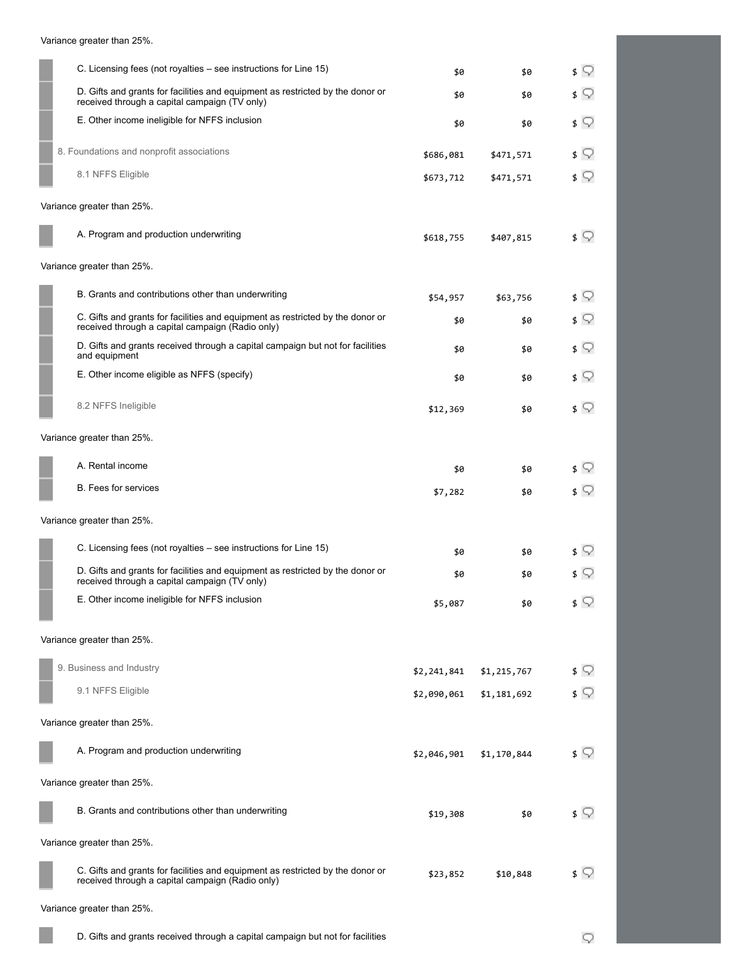| C. Licensing fees (not royalties – see instructions for Line 15)                                                                   | \$0         | \$0         | ≴ ⊊        |
|------------------------------------------------------------------------------------------------------------------------------------|-------------|-------------|------------|
| D. Gifts and grants for facilities and equipment as restricted by the donor or<br>received through a capital campaign (TV only)    | \$0         | \$0         | $\sqrt{ }$ |
| E. Other income ineligible for NFFS inclusion                                                                                      | \$0         | \$0         | \$ ?       |
| 8. Foundations and nonprofit associations                                                                                          | \$686,081   | \$471,571   | \$ V       |
| 8.1 NFFS Eligible                                                                                                                  | \$673,712   | \$471,571   | \$ ∑       |
| Variance greater than 25%.                                                                                                         |             |             |            |
| A. Program and production underwriting                                                                                             | \$618,755   | \$407,815   | \$ ∑       |
| Variance greater than 25%.                                                                                                         |             |             |            |
| B. Grants and contributions other than underwriting                                                                                | \$54,957    | \$63,756    | \$ ?       |
| C. Gifts and grants for facilities and equipment as restricted by the donor or<br>received through a capital campaign (Radio only) | \$0         | \$0         | ≴ ⊊        |
| D. Gifts and grants received through a capital campaign but not for facilities<br>and equipment                                    | \$0         | \$0         | ≴ ⊊        |
| E. Other income eligible as NFFS (specify)                                                                                         | \$0         | \$0         | ≴ ⊊        |
| 8.2 NFFS Ineligible                                                                                                                | \$12,369    | \$0         | ≴ ⊊        |
| Variance greater than 25%.                                                                                                         |             |             |            |
| A. Rental income                                                                                                                   | \$0         | \$0         | ≴ ⊊        |
| <b>B.</b> Fees for services                                                                                                        | \$7,282     | \$0         | ≴ ⊊        |
| Variance greater than 25%.                                                                                                         |             |             |            |
| C. Licensing fees (not royalties – see instructions for Line 15)                                                                   | \$0         | \$0         | \$ V       |
| D. Gifts and grants for facilities and equipment as restricted by the donor or<br>received through a capital campaign (TV only)    | \$0         | \$0         | V          |
| E. Other income ineligible for NFFS inclusion                                                                                      | \$5,087     | \$0         | \$ ?       |
| Variance greater than 25%.                                                                                                         |             |             |            |
|                                                                                                                                    |             |             |            |
| 9. Business and Industry                                                                                                           | \$2,241,841 | \$1,215,767 | \$ ∑       |
| 9.1 NFFS Eligible                                                                                                                  | \$2,090,061 | \$1,181,692 | ≰ ⊊        |
| Variance greater than 25%.                                                                                                         |             |             |            |
| A. Program and production underwriting                                                                                             | \$2,046,901 | \$1,170,844 | \$ ♡       |
| Variance greater than 25%.                                                                                                         |             |             |            |
| B. Grants and contributions other than underwriting                                                                                | \$19,308    | \$0         | \$ ∑       |
| Variance greater than 25%.                                                                                                         |             |             |            |
| C. Gifts and grants for facilities and equipment as restricted by the donor or<br>received through a capital campaign (Radio only) | \$23,852    | \$10,848    | ≴ ∑        |
| Variance greater than 25%.                                                                                                         |             |             |            |

D. Gifts and grants received through a capital campaign but not for facilities

Variance greater than 25%.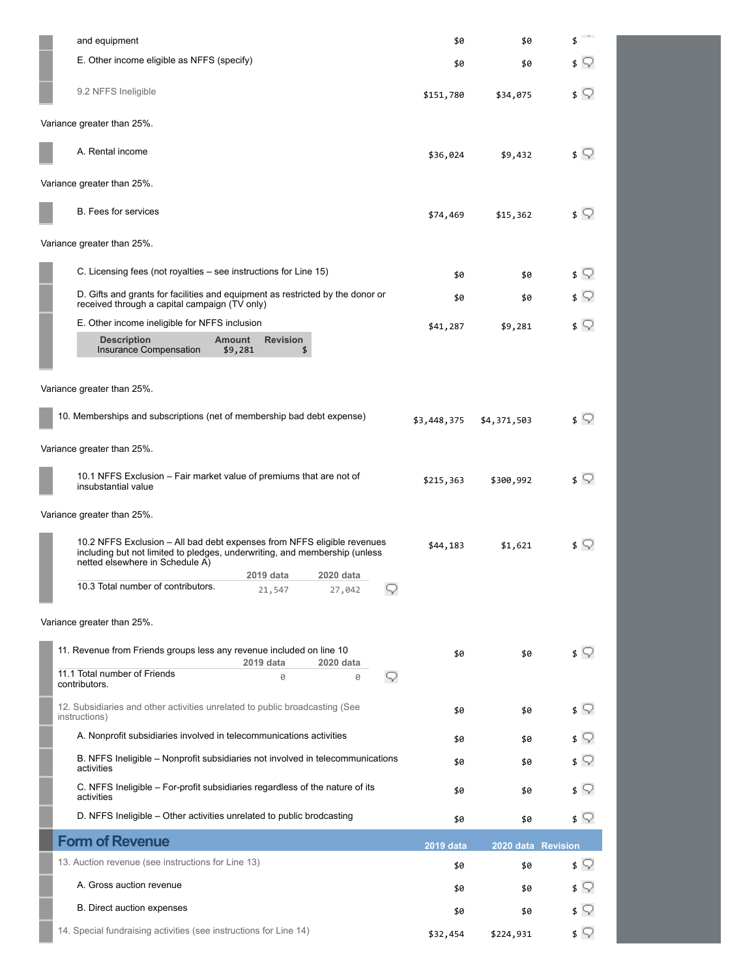| and equipment                                                                                                                                                                            | \$0         | \$0                | \$    |
|------------------------------------------------------------------------------------------------------------------------------------------------------------------------------------------|-------------|--------------------|-------|
| E. Other income eligible as NFFS (specify)                                                                                                                                               | \$0         | \$0                | \$ V  |
| 9.2 NFFS Ineligible                                                                                                                                                                      | \$151,780   | \$34,075           | \$ V  |
| Variance greater than 25%.                                                                                                                                                               |             |                    |       |
| A. Rental income                                                                                                                                                                         | \$36,024    | \$9,432            | \$ ∑  |
| Variance greater than 25%.                                                                                                                                                               |             |                    |       |
| <b>B.</b> Fees for services                                                                                                                                                              | \$74,469    | \$15,362           | \$ 52 |
| Variance greater than 25%.                                                                                                                                                               |             |                    |       |
| C. Licensing fees (not royalties – see instructions for Line 15)                                                                                                                         | \$0         | \$0                | \$ V  |
| D. Gifts and grants for facilities and equipment as restricted by the donor or<br>received through a capital campaign (TV only)                                                          | \$0         | \$0                | \$ V  |
| E. Other income ineligible for NFFS inclusion                                                                                                                                            | \$41,287    | \$9,281            | \$ V  |
| <b>Description</b><br><b>Amount</b><br><b>Revision</b><br>Insurance Compensation<br>\$9,281<br>\$                                                                                        |             |                    |       |
| Variance greater than 25%.                                                                                                                                                               |             |                    |       |
| 10. Memberships and subscriptions (net of membership bad debt expense)                                                                                                                   |             |                    |       |
|                                                                                                                                                                                          | \$3,448,375 | \$4,371,503        | \$ ∑  |
| Variance greater than 25%.                                                                                                                                                               |             |                    |       |
| 10.1 NFFS Exclusion – Fair market value of premiums that are not of<br>insubstantial value                                                                                               | \$215,363   | \$300,992          | \$ ∑  |
| Variance greater than 25%.                                                                                                                                                               |             |                    |       |
| 10.2 NFFS Exclusion – All bad debt expenses from NFFS eligible revenues<br>including but not limited to pledges, underwriting, and membership (unless<br>netted elsewhere in Schedule A) | \$44,183    | \$1,621            | \$ V  |
| 2019 data<br>2020 data                                                                                                                                                                   |             |                    |       |
| 10.3 Total number of contributors.<br>v<br>21,547<br>27,042                                                                                                                              |             |                    |       |
| Variance greater than 25%.                                                                                                                                                               |             |                    |       |
| 11. Revenue from Friends groups less any revenue included on line 10<br>2019 data<br>2020 data                                                                                           | \$0         | \$0                | \$ ∑  |
| 11.1 Total number of Friends<br>0<br>0<br>v<br>contributors.                                                                                                                             |             |                    |       |
| 12. Subsidiaries and other activities unrelated to public broadcasting (See<br>instructions)                                                                                             | \$0         | \$0                | ≴ ⊊   |
| A. Nonprofit subsidiaries involved in telecommunications activities                                                                                                                      | \$0         | \$0                | 8 Y   |
| B. NFFS Ineligible - Nonprofit subsidiaries not involved in telecommunications<br>activities                                                                                             | \$0         | \$0                | ≴ ⊊   |
| C. NFFS Ineligible - For-profit subsidiaries regardless of the nature of its<br>activities                                                                                               | \$0         | \$0                | s V   |
| D. NFFS Ineligible - Other activities unrelated to public brodcasting                                                                                                                    | \$0         | \$0                | \$ ∑  |
| <b>Form of Revenue</b>                                                                                                                                                                   | 2019 data   | 2020 data Revision |       |
| 13. Auction revenue (see instructions for Line 13)                                                                                                                                       | \$0         | \$0                | \$ ?  |
| A. Gross auction revenue                                                                                                                                                                 | \$0         | \$0                | \$ Y  |
| B. Direct auction expenses                                                                                                                                                               | \$0         | \$0                | \$ Y  |
| 14. Special fundraising activities (see instructions for Line 14)                                                                                                                        | \$32,454    | \$224,931          | ≰ ⊊   |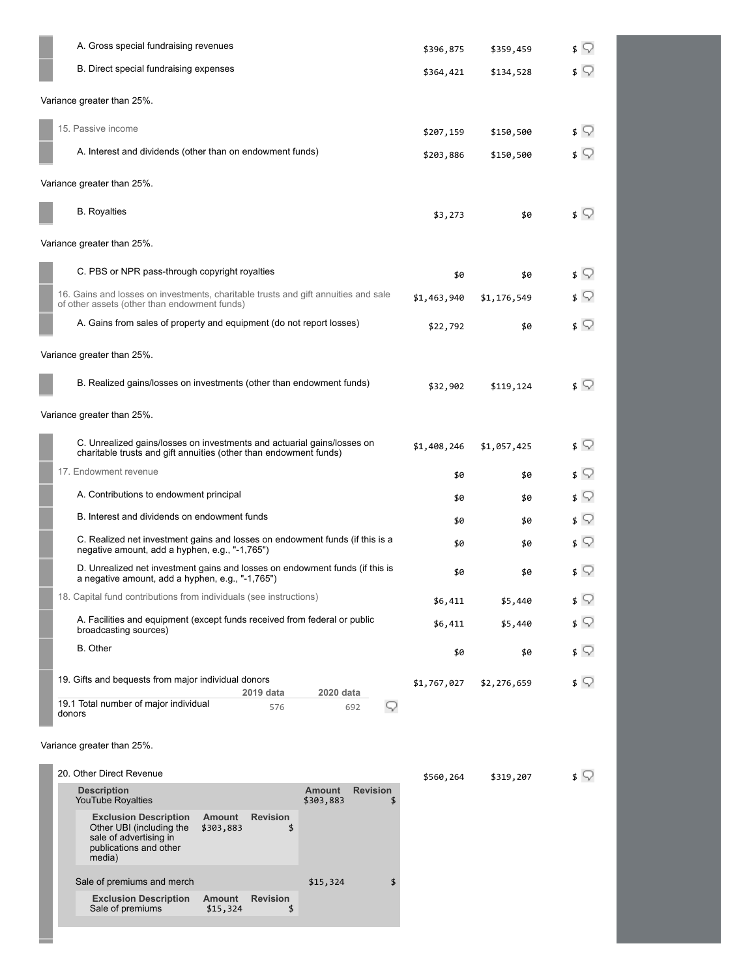| A. Gross special fundraising revenues                                                                                                        |                 | \$396,875   | \$359,459   | $\sqrt{ }$                          |
|----------------------------------------------------------------------------------------------------------------------------------------------|-----------------|-------------|-------------|-------------------------------------|
| B. Direct special fundraising expenses                                                                                                       |                 | \$364,421   | \$134,528   | $\sqrt{ }$                          |
| Variance greater than 25%.                                                                                                                   |                 |             |             |                                     |
| 15. Passive income                                                                                                                           |                 | \$207,159   | \$150,500   | \$ ़                                |
| A. Interest and dividends (other than on endowment funds)                                                                                    |                 | \$203,886   | \$150,500   | ≰ ू                                 |
| Variance greater than 25%.                                                                                                                   |                 |             |             |                                     |
| <b>B.</b> Royalties                                                                                                                          |                 | \$3,273     | \$0         | \$ ⊽                                |
| Variance greater than 25%.                                                                                                                   |                 |             |             |                                     |
| C. PBS or NPR pass-through copyright royalties                                                                                               |                 | \$0         | \$0         | \$ ़                                |
| 16. Gains and losses on investments, charitable trusts and gift annuities and sale<br>of other assets (other than endowment funds)           |                 | \$1,463,940 | \$1,176,549 | \$ ⊽                                |
| A. Gains from sales of property and equipment (do not report losses)                                                                         |                 | \$22,792    | \$0         | ≰ ू                                 |
| Variance greater than 25%.                                                                                                                   |                 |             |             |                                     |
| B. Realized gains/losses on investments (other than endowment funds)                                                                         |                 | \$32,902    | \$119,124   | \$ ⊽                                |
| Variance greater than 25%.                                                                                                                   |                 |             |             |                                     |
| C. Unrealized gains/losses on investments and actuarial gains/losses on<br>charitable trusts and gift annuities (other than endowment funds) |                 | \$1,408,246 | \$1,057,425 | \$ ़                                |
| 17. Endowment revenue                                                                                                                        |                 | \$0         | \$0         | \$ ़                                |
| A. Contributions to endowment principal                                                                                                      |                 | \$0         | \$0         | \$ ♡                                |
| B. Interest and dividends on endowment funds                                                                                                 |                 | \$0         | \$0         | \$ ़                                |
| C. Realized net investment gains and losses on endowment funds (if this is a<br>negative amount, add a hyphen, e.g., "-1,765")               |                 | \$0         | \$0         | \$ V                                |
| D. Unrealized net investment gains and losses on endowment funds (if this is<br>a negative amount, add a hyphen, e.g., "-1,765")             |                 | \$0         | \$0         | \$ V                                |
| 18. Capital fund contributions from individuals (see instructions)                                                                           |                 | \$6,411     | \$5,440     | $\sqrt{ }$                          |
| A. Facilities and equipment (except funds received from federal or public<br>broadcasting sources)                                           |                 | \$6,411     | \$5,440     | $\sqrt{ }$                          |
| <b>B.</b> Other                                                                                                                              |                 | \$0         | \$0         | $\sqrt{ }$                          |
| 19. Gifts and bequests from major individual donors<br>2019 data<br>2020 data                                                                |                 | \$1,767,027 | \$2,276,659 | $\mathfrak{s} \mathbin{\heartsuit}$ |
| 19.1 Total number of major individual<br>576<br>692<br>donors                                                                                | 9               |             |             |                                     |
| Variance greater than 25%.                                                                                                                   |                 |             |             |                                     |
| 20. Other Direct Revenue                                                                                                                     |                 |             |             | \$ ?                                |
| <b>Description</b><br><b>Amount</b>                                                                                                          | <b>Revision</b> | \$560,264   | \$319,207   |                                     |
| <b>YouTube Royalties</b><br>\$303,883<br><b>Exclusion Description</b><br><b>Amount</b><br><b>Revision</b>                                    | \$              |             |             |                                     |
| Other UBI (including the<br>\$303,883<br>\$<br>sale of advertising in<br>publications and other<br>media)                                    |                 |             |             |                                     |
| Sale of premiums and merch<br>\$15,324                                                                                                       | \$              |             |             |                                     |
| <b>Exclusion Description</b><br>Amount<br><b>Revision</b>                                                                                    |                 |             |             |                                     |

Sale of premiums  $$15,324$  \$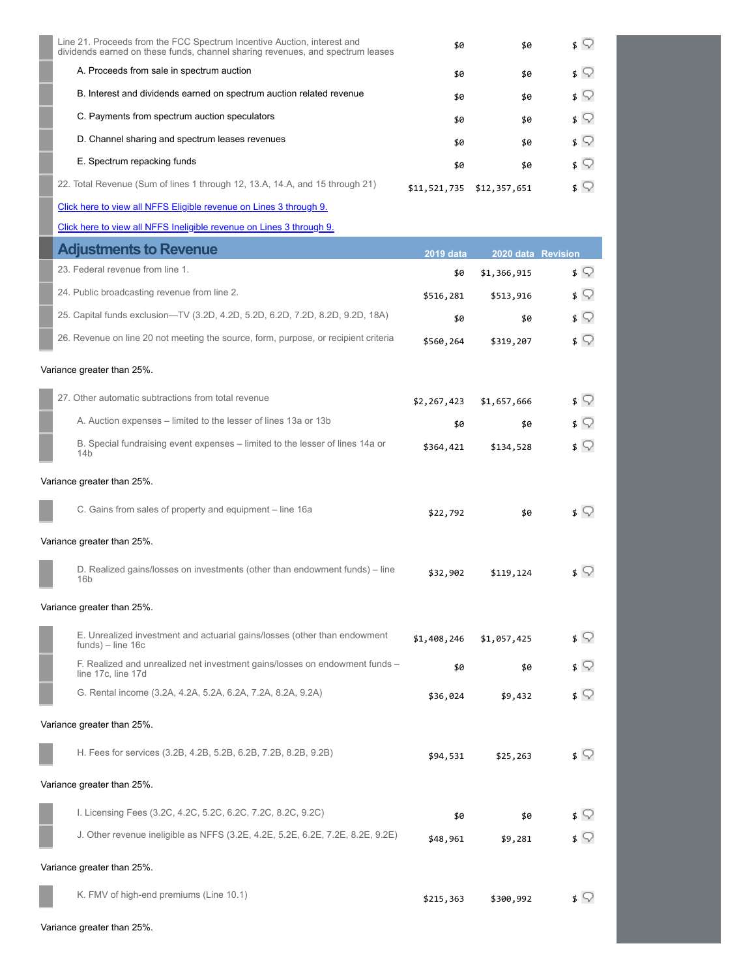| Line 21. Proceeds from the FCC Spectrum Incentive Auction, interest and<br>dividends earned on these funds, channel sharing revenues, and spectrum leases | \$0          | \$0          | s V        |
|-----------------------------------------------------------------------------------------------------------------------------------------------------------|--------------|--------------|------------|
| A. Proceeds from sale in spectrum auction                                                                                                                 | \$0          | \$0          | ≴ ⊽        |
| B. Interest and dividends earned on spectrum auction related revenue                                                                                      | \$0          | \$0          | $\sqrt{ }$ |
| C. Payments from spectrum auction speculators                                                                                                             | \$0          | \$0          | $\sqrt{ }$ |
| D. Channel sharing and spectrum leases revenues                                                                                                           | \$0          | \$0          | $\sqrt{ }$ |
| E. Spectrum repacking funds                                                                                                                               | \$0          | \$0          | $\sqrt{ }$ |
| 22. Total Revenue (Sum of lines 1 through 12, 13.A, 14.A, and 15 through 21)                                                                              | \$11,521,735 | \$12,357,651 | s Q        |

[Click here to view all NFFS Eligible revenue on Lines 3 through 9.](https://isis.cpb.org/ScheduleASupplement.aspx?report=1)

[Click here to view all NFFS Ineligible revenue on Lines 3 through 9.](https://isis.cpb.org/ScheduleASupplement.aspx?report=2)

| <b>Adjustments to Revenue</b>                                                                     | <b>2019 data</b> | 2020 data Revision |            |
|---------------------------------------------------------------------------------------------------|------------------|--------------------|------------|
| 23. Federal revenue from line 1.                                                                  | \$0              | \$1,366,915        | $\sqrt{ }$ |
| 24. Public broadcasting revenue from line 2.                                                      | \$516,281        | \$513,916          | \$ ?       |
| 25. Capital funds exclusion-TV (3.2D, 4.2D, 5.2D, 6.2D, 7.2D, 8.2D, 9.2D, 18A)                    | \$0              | \$0                | ≴ ⊊        |
| 26. Revenue on line 20 not meeting the source, form, purpose, or recipient criteria               | \$560,264        | \$319,207          | $\sqrt{ }$ |
| Variance greater than 25%.                                                                        |                  |                    |            |
| 27. Other automatic subtractions from total revenue                                               | \$2,267,423      | \$1,657,666        | \$ V       |
| A. Auction expenses - limited to the lesser of lines 13a or 13b                                   | \$0              | \$0                | s Q        |
| B. Special fundraising event expenses – limited to the lesser of lines 14a or<br>14b              | \$364,421        | \$134,528          | ≴ ⊊        |
| Variance greater than 25%.                                                                        |                  |                    |            |
| C. Gains from sales of property and equipment - line 16a                                          | \$22,792         | \$0                | ≰ ♀        |
| Variance greater than 25%.                                                                        |                  |                    |            |
| D. Realized gains/losses on investments (other than endowment funds) - line<br>16 <sub>b</sub>    | \$32,902         | \$119,124          | $\sqrt{ }$ |
| Variance greater than 25%.                                                                        |                  |                    |            |
| E. Unrealized investment and actuarial gains/losses (other than endowment<br>$funds$ ) – line 16c | \$1,408,246      | \$1,057,425        | s Q        |
| F. Realized and unrealized net investment gains/losses on endowment funds -<br>line 17c, line 17d | \$0              | \$0                | s Q        |
| G. Rental income (3.2A, 4.2A, 5.2A, 6.2A, 7.2A, 8.2A, 9.2A)                                       | \$36,024         | \$9,432            | \$ ?       |
| Variance greater than 25%.                                                                        |                  |                    |            |
| H. Fees for services (3.2B, 4.2B, 5.2B, 6.2B, 7.2B, 8.2B, 9.2B)                                   | \$94,531         | \$25,263           | s V        |
| Variance greater than 25%.                                                                        |                  |                    |            |
| I. Licensing Fees (3.2C, 4.2C, 5.2C, 6.2C, 7.2C, 8.2C, 9.2C)                                      | \$0              | \$0                | ≴ ⊊        |
| J. Other revenue ineligible as NFFS (3.2E, 4.2E, 5.2E, 6.2E, 7.2E, 8.2E, 9.2E)                    | \$48,961         | \$9,281            | \$ ∑       |
| Variance greater than 25%.                                                                        |                  |                    |            |
| K. FMV of high-end premiums (Line 10.1)                                                           | \$215,363        | \$300,992          | \$ V       |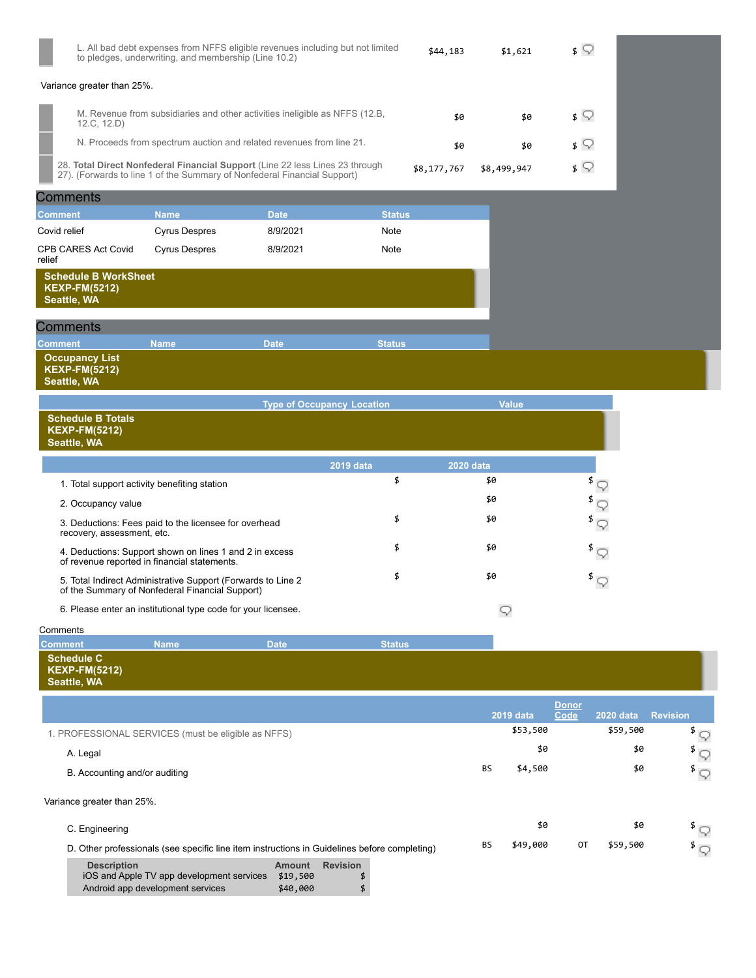|                                                                    | L. All bad debt expenses from NFFS eligible revenues including but not limited<br>to pledges, underwriting, and membership (Line 10.2)                   |                                   |               | \$44,183         | \$1,621          | $\sqrt{ }$                               |                 |                                           |
|--------------------------------------------------------------------|----------------------------------------------------------------------------------------------------------------------------------------------------------|-----------------------------------|---------------|------------------|------------------|------------------------------------------|-----------------|-------------------------------------------|
| Variance greater than 25%.                                         |                                                                                                                                                          |                                   |               |                  |                  |                                          |                 |                                           |
| 12.C, 12.D)                                                        | M. Revenue from subsidiaries and other activities ineligible as NFFS (12.B,                                                                              |                                   |               | \$0              | \$0              | $\sqrt{ }$                               |                 |                                           |
|                                                                    | N. Proceeds from spectrum auction and related revenues from line 21.                                                                                     |                                   |               | \$0              | \$0              | $\sqrt{ }$                               |                 |                                           |
|                                                                    | 28. Total Direct Nonfederal Financial Support (Line 22 less Lines 23 through<br>27). (Forwards to line 1 of the Summary of Nonfederal Financial Support) |                                   |               | \$8,177,767      | \$8,499,947      | $\sqrt{ }$                               |                 |                                           |
| Comments                                                           |                                                                                                                                                          |                                   |               |                  |                  |                                          |                 |                                           |
| <b>Comment</b>                                                     | <b>Name</b>                                                                                                                                              | <b>Date</b>                       | <b>Status</b> |                  |                  |                                          |                 |                                           |
| Covid relief                                                       | <b>Cyrus Despres</b>                                                                                                                                     | 8/9/2021                          | Note          |                  |                  |                                          |                 |                                           |
| CPB CARES Act Covid<br>relief                                      | <b>Cyrus Despres</b>                                                                                                                                     | 8/9/2021                          | Note          |                  |                  |                                          |                 |                                           |
| <b>Schedule B WorkSheet</b><br><b>KEXP-FM(5212)</b><br>Seattle, WA |                                                                                                                                                          |                                   |               |                  |                  |                                          |                 |                                           |
| <b>Comments</b>                                                    |                                                                                                                                                          |                                   |               |                  |                  |                                          |                 |                                           |
| <b>Comment</b>                                                     | <b>Name</b>                                                                                                                                              | <b>Date</b>                       | <b>Status</b> |                  |                  |                                          |                 |                                           |
| <b>Occupancy List</b><br><b>KEXP-FM(5212)</b><br>Seattle, WA       |                                                                                                                                                          |                                   |               |                  |                  |                                          |                 |                                           |
|                                                                    |                                                                                                                                                          | <b>Type of Occupancy Location</b> |               |                  | <b>Value</b>     |                                          |                 |                                           |
| <b>Schedule B Totals</b><br><b>KEXP-FM(5212)</b><br>Seattle, WA    |                                                                                                                                                          |                                   |               |                  |                  |                                          |                 |                                           |
|                                                                    |                                                                                                                                                          |                                   | 2019 data     | <b>2020 data</b> |                  |                                          |                 |                                           |
| 1. Total support activity benefiting station                       |                                                                                                                                                          |                                   | \$            |                  | \$0              | $\overline{\mathcal{F}}$                 |                 |                                           |
| 2. Occupancy value                                                 |                                                                                                                                                          |                                   |               |                  | \$0              | \$<br>9                                  |                 |                                           |
| recovery, assessment, etc.                                         | 3. Deductions: Fees paid to the licensee for overhead                                                                                                    |                                   | \$            |                  | \$0              | $^{\frac{3}{2}}$                         |                 |                                           |
|                                                                    | 4. Deductions: Support shown on lines 1 and 2 in excess<br>of revenue reported in financial statements.                                                  |                                   | \$            |                  | \$0              | $^{\frac{5}{2}}$                         |                 |                                           |
|                                                                    | 5. Total Indirect Administrative Support (Forwards to Line 2<br>of the Summary of Nonfederal Financial Support)                                          |                                   | \$            |                  | \$0              | $\overline{\mathcal{F}}$                 |                 |                                           |
|                                                                    | 6. Please enter an institutional type code for your licensee.                                                                                            |                                   |               |                  | 9                |                                          |                 |                                           |
| Comments                                                           |                                                                                                                                                          |                                   |               |                  |                  |                                          |                 |                                           |
| <b>Comment</b>                                                     | <b>Name</b>                                                                                                                                              | <b>Date</b>                       | <b>Status</b> |                  |                  |                                          |                 |                                           |
| <b>Schedule C</b><br><b>KEXP-FM(5212)</b><br>Seattle, WA           |                                                                                                                                                          |                                   |               |                  |                  |                                          |                 |                                           |
|                                                                    |                                                                                                                                                          |                                   |               |                  | <b>2019 data</b> | <b>Donor</b><br>Code<br><b>2020 data</b> | <b>Revision</b> |                                           |
| 1. PROFESSIONAL SERVICES (must be eligible as NFFS)                |                                                                                                                                                          |                                   |               |                  | \$53,500         |                                          | \$59,500        | $\sqrt[3]{\mathbb{Q}}$                    |
| A. Legal                                                           |                                                                                                                                                          |                                   |               |                  | \$0              |                                          | \$0<br>\$       |                                           |
|                                                                    |                                                                                                                                                          |                                   |               |                  | BS<br>\$4,500    |                                          | \$0             | 9<br>$^{\mathrm{\$}}\mathbin{\subsetneq}$ |
| B. Accounting and/or auditing                                      |                                                                                                                                                          |                                   |               |                  |                  |                                          |                 |                                           |
| Variance greater than 25%.                                         |                                                                                                                                                          |                                   |               |                  |                  |                                          |                 |                                           |
|                                                                    |                                                                                                                                                          |                                   |               |                  |                  |                                          |                 |                                           |
| C. Engineering                                                     |                                                                                                                                                          |                                   |               |                  | \$0              |                                          | \$0             |                                           |

| iOS and Apple TV app development services | \$19,500 |  |
|-------------------------------------------|----------|--|
| Android app development services          | \$40,000 |  |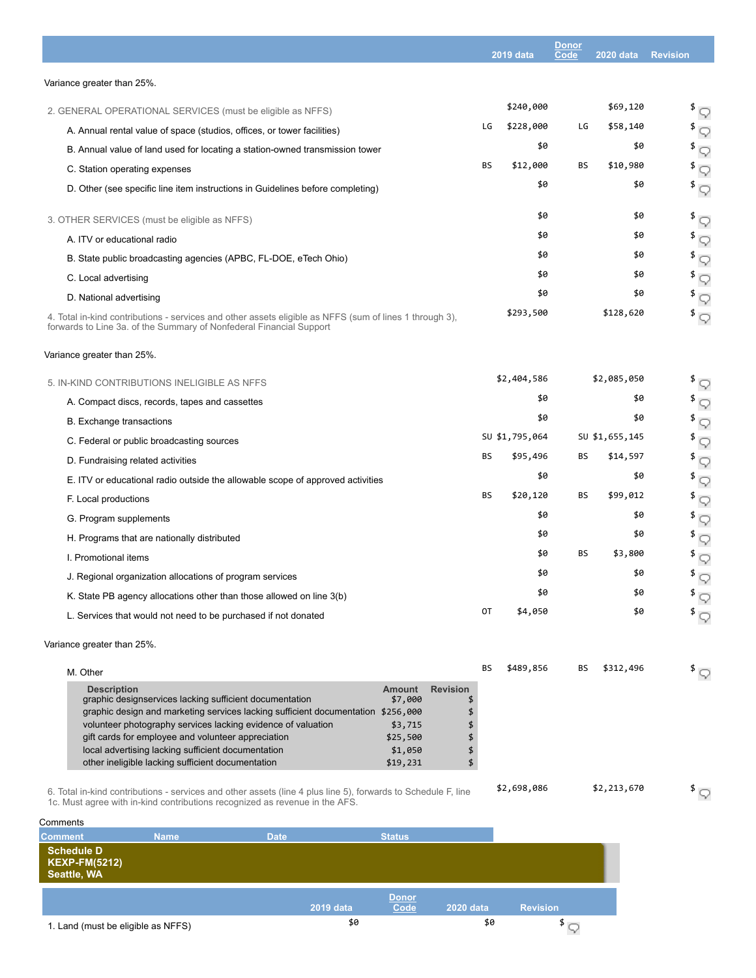|                                                                                                                                                                                | <b>Donor</b> |                  |           |                  |                                  |
|--------------------------------------------------------------------------------------------------------------------------------------------------------------------------------|--------------|------------------|-----------|------------------|----------------------------------|
|                                                                                                                                                                                |              | <b>2019 data</b> | Code      | <b>2020 data</b> | <b>Revision</b>                  |
| Variance greater than 25%.                                                                                                                                                     |              |                  |           |                  |                                  |
| 2. GENERAL OPERATIONAL SERVICES (must be eligible as NFFS)                                                                                                                     |              | \$240,000        |           | \$69,120         | $\sqrt[3]{\mathbb{Q}}$           |
| A. Annual rental value of space (studios, offices, or tower facilities)                                                                                                        | LG           | \$228,000        | LG        | \$58,140         | $^{\frac{3}{2}}$                 |
| B. Annual value of land used for locating a station-owned transmission tower                                                                                                   |              | \$0              |           | \$0              | $\sqrt[3]{\mathbb{Q}}$           |
| C. Station operating expenses                                                                                                                                                  | ΒS           | \$12,000         | BS        | \$10,980         | \$<br>Q                          |
| D. Other (see specific line item instructions in Guidelines before completing)                                                                                                 |              | \$0              |           | \$0              | $\sqrt[3]{5}$                    |
| 3. OTHER SERVICES (must be eligible as NFFS)                                                                                                                                   |              | \$0              |           | \$0              | $\sqrt[3]{\mathbb{Q}}$           |
| A. ITV or educational radio                                                                                                                                                    |              | \$0              |           | \$0              | \$<br>9                          |
| B. State public broadcasting agencies (APBC, FL-DOE, eTech Ohio)                                                                                                               |              | \$0              |           | \$0              | \$<br>Q                          |
| C. Local advertising                                                                                                                                                           |              | \$0              |           | \$0              | \$<br>9                          |
| D. National advertising                                                                                                                                                        |              | \$0              |           | \$0              | \$<br>9                          |
| 4. Total in-kind contributions - services and other assets eligible as NFFS (sum of lines 1 through 3),<br>forwards to Line 3a. of the Summary of Nonfederal Financial Support |              | \$293,500        |           | \$128,620        | \$<br>9                          |
| Variance greater than 25%.                                                                                                                                                     |              |                  |           |                  |                                  |
| 5. IN-KIND CONTRIBUTIONS INELIGIBLE AS NFFS                                                                                                                                    |              | \$2,404,586      |           | \$2,085,050      | $\sqrt[3]{5}$                    |
| A. Compact discs, records, tapes and cassettes                                                                                                                                 |              | \$0              |           | \$0              | \$<br>9                          |
| B. Exchange transactions                                                                                                                                                       |              | \$0              |           | \$0              | \$<br>Q                          |
| C. Federal or public broadcasting sources                                                                                                                                      |              | SU \$1,795,064   |           | SU \$1,655,145   | \$<br>9                          |
| D. Fundraising related activities                                                                                                                                              | BS           | \$95,496         | BS        | \$14,597         | \$<br>9                          |
| E. ITV or educational radio outside the allowable scope of approved activities                                                                                                 |              | \$0              |           | \$0              | \$<br>9                          |
| F. Local productions                                                                                                                                                           | BS           | \$20,120         | BS        | \$99,012         | \$<br>9                          |
| G. Program supplements                                                                                                                                                         |              | \$0              |           | \$0              | \$<br>9                          |
| H. Programs that are nationally distributed                                                                                                                                    |              | \$0              |           | \$0              | \$<br>9                          |
| I. Promotional items                                                                                                                                                           |              | \$0              | <b>BS</b> | \$3,800          | \$<br>9                          |
| J. Regional organization allocations of program services                                                                                                                       |              | \$0              |           | \$0              | \$<br>9                          |
| K. State PB agency allocations other than those allowed on line 3(b)                                                                                                           |              | \$0              |           | \$0              | \$<br>9                          |
| L. Services that would not need to be purchased if not donated                                                                                                                 | 0T           | \$4,050          |           | \$0              | $^{\rm \mathsf{S}}$ $\heartsuit$ |
| Variance greater than 25%.                                                                                                                                                     |              |                  |           |                  |                                  |
| M. Other                                                                                                                                                                       | ВS           | \$489,856        | BS        | \$312,496        | $\sqrt[3]{\mathbb{Q}}$           |
| <b>Description</b><br><b>Revision</b><br><b>Amount</b><br>graphic designservices lacking sufficient documentation<br>\$7,000<br>\$                                             |              |                  |           |                  |                                  |

graphic design and marketing services lacking sufficient documentation \$256,000 \$ volunteer photography services lacking evidence of valuation  $$3,715$  \$ gift cards for employee and volunteer appreciation  $$25,500$  \$ local advertising lacking sufficient documentation  $$1,050$  \$1 other ineligible lacking sufficient documentation \$19,231 \$

6. Total in-kind contributions - services and other assets (line 4 plus line 5), forwards to Schedule F, line 1c. Must agree with in-kind contributions recognized as revenue in the AFS.

**Comments Comment Name Date Date Status Schedule D KEXP-FM(5212) Seattle, WA 2019 data Donor Codeb Revision**<br>**Code 20**<br>**Code Code 2**<br>**C** 1. Land (must be eligible as NFFS)  $$9$   $$9$ 

\$2,698,086 \$2,213,670 \$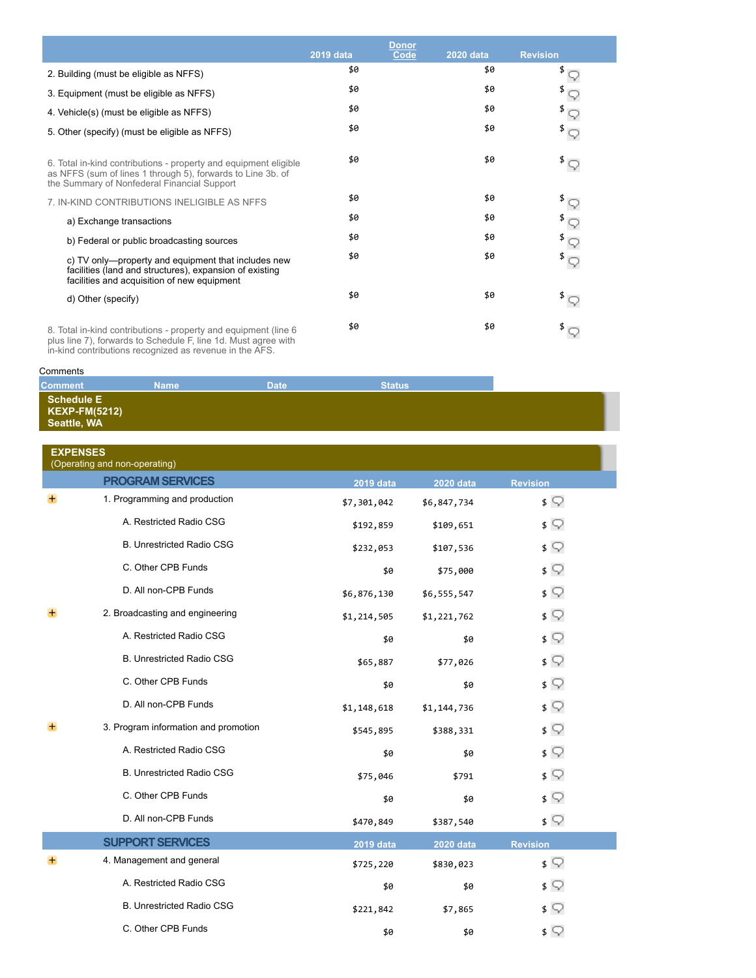|                                                                                                                                                                                | 2019 data | <b>Donor</b><br>Code | <b>2020 data</b> | <b>Revision</b>                                                          |
|--------------------------------------------------------------------------------------------------------------------------------------------------------------------------------|-----------|----------------------|------------------|--------------------------------------------------------------------------|
| 2. Building (must be eligible as NFFS)                                                                                                                                         | \$0       |                      | \$0              |                                                                          |
| 3. Equipment (must be eligible as NFFS)                                                                                                                                        | \$0       |                      | \$0              |                                                                          |
| 4. Vehicle(s) (must be eligible as NFFS)                                                                                                                                       | \$0       |                      | \$0              |                                                                          |
| 5. Other (specify) (must be eligible as NFFS)                                                                                                                                  | \$0       |                      | \$0              |                                                                          |
| 6. Total in-kind contributions - property and equipment eligible<br>as NFFS (sum of lines 1 through 5), forwards to Line 3b. of<br>the Summary of Nonfederal Financial Support | \$0       |                      | \$0              | $^{\frac{3}{2}}\nabla$                                                   |
| 7. IN-KIND CONTRIBUTIONS INELIGIBLE AS NFFS                                                                                                                                    | \$0       |                      | \$0              |                                                                          |
| a) Exchange transactions                                                                                                                                                       | \$0       |                      | \$0              |                                                                          |
| b) Federal or public broadcasting sources                                                                                                                                      | \$0       |                      | \$0              | $\begin{smallmatrix} \sharp & \circ \\ \sharp & \circ \end{smallmatrix}$ |
| c) TV only—property and equipment that includes new<br>facilities (land and structures), expansion of existing<br>facilities and acquisition of new equipment                  | \$0       |                      | \$0              | $\sqrt[3]{\mathbb{Q}}$                                                   |
| d) Other (specify)                                                                                                                                                             | \$0       |                      | \$0              | $\sqrt[3]{\mathbb{Q}}$                                                   |
| 8. Total in-kind contributions - property and equipment (line 6)<br>plus line 7), forwards to Schedule F, line 1d. Must agree with                                             | \$0       |                      | \$0              |                                                                          |

in-kind contributions recognized as revenue in the AFS.

## **Comments**

## **Comment Name Date Date Status Schedule E KEXP-FM(5212) Seattle, WA**

| <b>EXPENSES</b><br>(Operating and non-operating) |                                      |             |                  |                 |  |
|--------------------------------------------------|--------------------------------------|-------------|------------------|-----------------|--|
|                                                  | <b>PROGRAM SERVICES</b>              | 2019 data   | <b>2020 data</b> | <b>Revision</b> |  |
| $+$                                              | 1. Programming and production        | \$7,301,042 | \$6,847,734      | $\sqrt{ }$      |  |
|                                                  | A. Restricted Radio CSG              | \$192,859   | \$109,651        | $\sqrt{ }$      |  |
|                                                  | <b>B. Unrestricted Radio CSG</b>     | \$232,053   | \$107,536        | $\sqrt{ }$      |  |
|                                                  | C. Other CPB Funds                   | \$0         | \$75,000         | $\sqrt{ }$      |  |
|                                                  | D. All non-CPB Funds                 | \$6,876,130 | \$6,555,547      | $\sqrt{ }$      |  |
|                                                  | 2. Broadcasting and engineering      | \$1,214,505 | \$1,221,762      | $\sqrt{ }$      |  |
|                                                  | A. Restricted Radio CSG              | \$0         | \$0              | $\sqrt{ }$      |  |
|                                                  | <b>B. Unrestricted Radio CSG</b>     | \$65,887    | \$77,026         | $\sqrt{ }$      |  |
|                                                  | C. Other CPB Funds                   | \$0         | \$0              | $\sqrt{ }$      |  |
|                                                  | D. All non-CPB Funds                 | \$1,148,618 | \$1,144,736      | $\sqrt{ }$      |  |
|                                                  | 3. Program information and promotion | \$545,895   | \$388,331        | $\sqrt{ }$      |  |
|                                                  | A. Restricted Radio CSG              | \$0         | \$0              | $\sqrt{ }$      |  |
|                                                  | <b>B. Unrestricted Radio CSG</b>     | \$75,046    | \$791            | $\sqrt{ }$      |  |
|                                                  | C. Other CPB Funds                   | \$0         | \$0              | $\sqrt{ }$      |  |
|                                                  | D. All non-CPB Funds                 | \$470,849   | \$387,540        | $\sqrt{ }$      |  |
|                                                  | <b>SUPPORT SERVICES</b>              | 2019 data   | <b>2020 data</b> | <b>Revision</b> |  |
|                                                  | 4. Management and general            | \$725,220   | \$830,023        | $\sqrt{ }$      |  |
|                                                  | A. Restricted Radio CSG              | \$0         | \$0              | ≴ ⊊             |  |
|                                                  | <b>B. Unrestricted Radio CSG</b>     | \$221,842   | \$7,865          | $\sqrt{ }$      |  |
|                                                  | C. Other CPB Funds                   | \$0         | \$0              | $\sqrt{ }$      |  |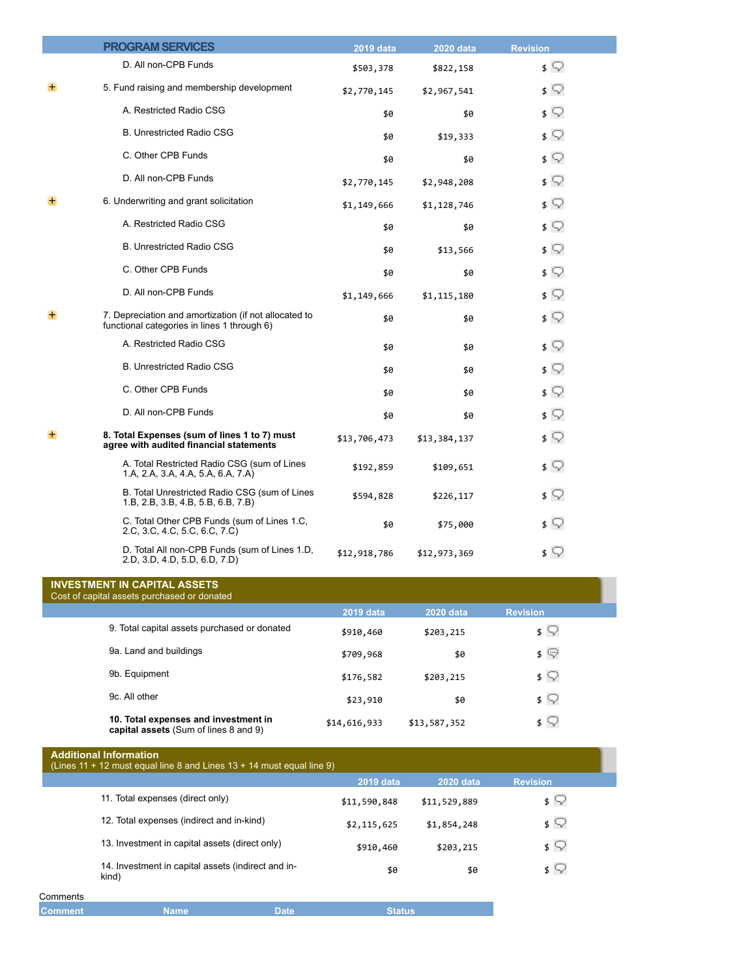|   | <b>PROGRAM SERVICES</b>                                                                              | <b>2019 data</b> | <b>2020 data</b> | <b>Revision</b>           |
|---|------------------------------------------------------------------------------------------------------|------------------|------------------|---------------------------|
|   | D. All non-CPB Funds                                                                                 | \$503,378        | \$822,158        | $\sqrt{ }$                |
| + | 5. Fund raising and membership development                                                           | \$2,770,145      | \$2,967,541      | ≴ ⊊                       |
|   | A. Restricted Radio CSG                                                                              | \$0              | \$0              | $\sqrt{ }$                |
|   | <b>B. Unrestricted Radio CSG</b>                                                                     | \$0              | \$19,333         | $\sqrt{ }$                |
|   | C. Other CPB Funds                                                                                   | \$0              | \$0              | $\sqrt{ }$                |
|   | D. All non-CPB Funds                                                                                 | \$2,770,145      | \$2,948,208      | $\sqrt{ }$                |
|   | 6. Underwriting and grant solicitation                                                               | \$1,149,666      | \$1,128,746      | $\sqrt{ }$                |
|   | A. Restricted Radio CSG                                                                              | \$0              | \$0              | $\sqrt{ }$                |
|   | <b>B. Unrestricted Radio CSG</b>                                                                     | \$0              | \$13,566         | $\sqrt{ }$                |
|   | C. Other CPB Funds                                                                                   | \$0              | \$0              | $\sqrt{ }$                |
|   | D. All non-CPB Funds                                                                                 | \$1,149,666      | \$1,115,180      | $\sqrt{ }$                |
|   | 7. Depreciation and amortization (if not allocated to<br>functional categories in lines 1 through 6) | \$0              | \$0              | $\sqrt{ }$                |
|   | A. Restricted Radio CSG                                                                              | \$0              | \$0              | $\sqrt{ }$                |
|   | <b>B. Unrestricted Radio CSG</b>                                                                     | \$0              | \$0              | \$ Q                      |
|   | C. Other CPB Funds                                                                                   | \$0              | \$0              | $\mathfrak{s} \mathbb{Q}$ |
|   | D. All non-CPB Funds                                                                                 | \$0              | \$0              | $\sqrt{ }$                |
|   | 8. Total Expenses (sum of lines 1 to 7) must<br>agree with audited financial statements              | \$13,706,473     | \$13,384,137     | $\sqrt{ }$                |
|   | A. Total Restricted Radio CSG (sum of Lines<br>1.A, 2.A, 3.A, 4.A, 5.A, 6.A, 7.A)                    | \$192,859        | \$109,651        | $\sqrt{ }$                |
|   | B. Total Unrestricted Radio CSG (sum of Lines<br>1.B, 2.B, 3.B, 4.B, 5.B, 6.B, 7.B)                  | \$594,828        | \$226,117        | $\sqrt{ }$                |
|   | C. Total Other CPB Funds (sum of Lines 1.C,<br>2.C, 3.C, 4.C, 5.C, 6.C, 7.C)                         | \$0              | \$75,000         | $\sqrt{ }$                |
|   | D. Total All non-CPB Funds (sum of Lines 1.D,<br>2.D, 3.D, 4.D, 5.D, 6.D, 7.D)                       | \$12,918,786     | \$12,973,369     | $\sqrt{ }$                |
|   | <b>INVESTMENT IN CAPITAL ASSETS</b>                                                                  |                  |                  |                           |

| INVESTMENT IN CAPITAL ASSETS<br>Cost of capital assets purchased or donated   |              |                  |                                       |  |
|-------------------------------------------------------------------------------|--------------|------------------|---------------------------------------|--|
|                                                                               | 2019 data    | <b>2020 data</b> | <b>Revision</b>                       |  |
| 9. Total capital assets purchased or donated                                  | \$910,460    | \$203,215        | $\frac{1}{2}$                         |  |
| 9a. Land and buildings                                                        | \$709,968    | \$0              | $\mathfrak{s} \; \mathbb{\heartsuit}$ |  |
| 9b. Equipment                                                                 | \$176,582    | \$203,215        | $\sqrt{2}$                            |  |
| 9c. All other                                                                 | \$23,910     | \$0              | $\sqrt{2}$                            |  |
| 10. Total expenses and investment in<br>capital assets (Sum of lines 8 and 9) | \$14,616,933 | \$13,587,352     | $\frac{1}{2}$                         |  |

|          | <b>Additional Information</b><br>(Lines $11 + 12$ must equal line 8 and Lines $13 + 14$ must equal line 9) |                  |              |                 |
|----------|------------------------------------------------------------------------------------------------------------|------------------|--------------|-----------------|
|          |                                                                                                            | <b>2019 data</b> | 2020 data    | <b>Revision</b> |
|          | 11. Total expenses (direct only)                                                                           | \$11,590,848     | \$11,529,889 | $\sqrt{2}$      |
|          | 12. Total expenses (indirect and in-kind)                                                                  | \$2,115,625      | \$1,854,248  | $\sqrt{2}$      |
|          | 13. Investment in capital assets (direct only)                                                             | \$910,460        | \$203,215    | $\sqrt{2}$      |
|          | 14. Investment in capital assets (indirect and in-<br>kind)                                                | \$0              | \$0          | \$ V            |
| Comments |                                                                                                            |                  |              |                 |

| <b>Comment</b> | lame | Date | itatus |
|----------------|------|------|--------|
|                |      |      |        |